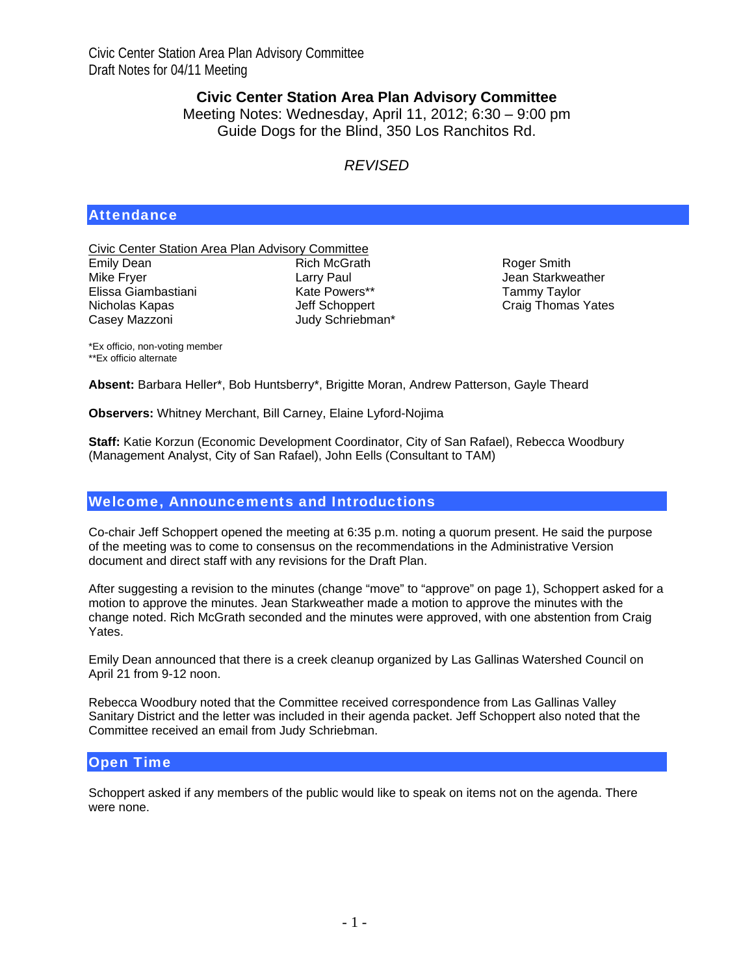# **Civic Center Station Area Plan Advisory Committee**

Meeting Notes: Wednesday, April 11, 2012; 6:30 – 9:00 pm Guide Dogs for the Blind, 350 Los Ranchitos Rd.

# *REVISED*

# **Attendance**

Civic Center Station Area Plan Advisory Committee Emily Dean Mike Fryer Elissa Giambastiani Nicholas Kapas Casey Mazzoni Rich McGrath Larry Paul Kate Powers\*\* Jeff Schoppert Judy Schriebman\*

Roger Smith Jean Starkweather Tammy Taylor Craig Thomas Yates

\*Ex officio, non-voting member \*\*Ex officio alternate

**Absent:** Barbara Heller\*, Bob Huntsberry\*, Brigitte Moran, Andrew Patterson, Gayle Theard

**Observers:** Whitney Merchant, Bill Carney, Elaine Lyford-Nojima

**Staff:** Katie Korzun (Economic Development Coordinator, City of San Rafael), Rebecca Woodbury (Management Analyst, City of San Rafael), John Eells (Consultant to TAM)

## Welcome, Announcements and Introductions

Co-chair Jeff Schoppert opened the meeting at 6:35 p.m. noting a quorum present. He said the purpose of the meeting was to come to consensus on the recommendations in the Administrative Version document and direct staff with any revisions for the Draft Plan.

After suggesting a revision to the minutes (change "move" to "approve" on page 1), Schoppert asked for a motion to approve the minutes. Jean Starkweather made a motion to approve the minutes with the change noted. Rich McGrath seconded and the minutes were approved, with one abstention from Craig Yates.

Emily Dean announced that there is a creek cleanup organized by Las Gallinas Watershed Council on April 21 from 9-12 noon.

Rebecca Woodbury noted that the Committee received correspondence from Las Gallinas Valley Sanitary District and the letter was included in their agenda packet. Jeff Schoppert also noted that the Committee received an email from Judy Schriebman.

## Open Time

Schoppert asked if any members of the public would like to speak on items not on the agenda. There were none.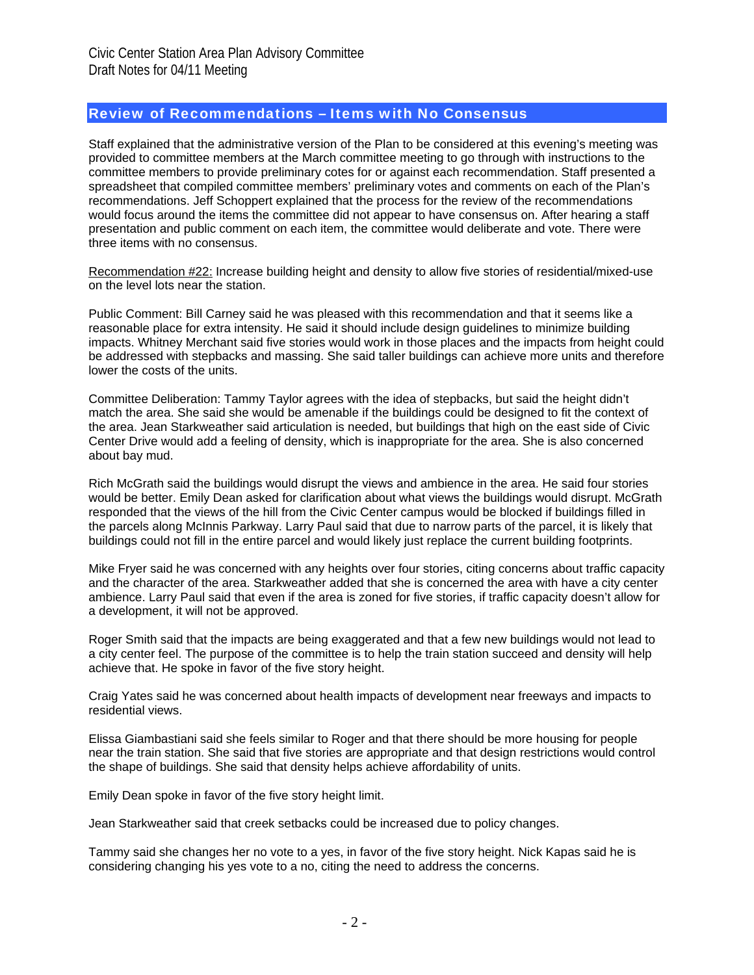#### Review of Recommendations – Items with No Consensus

Staff explained that the administrative version of the Plan to be considered at this evening's meeting was provided to committee members at the March committee meeting to go through with instructions to the committee members to provide preliminary cotes for or against each recommendation. Staff presented a spreadsheet that compiled committee members' preliminary votes and comments on each of the Plan's recommendations. Jeff Schoppert explained that the process for the review of the recommendations would focus around the items the committee did not appear to have consensus on. After hearing a staff presentation and public comment on each item, the committee would deliberate and vote. There were three items with no consensus.

Recommendation #22: Increase building height and density to allow five stories of residential/mixed-use on the level lots near the station.

Public Comment: Bill Carney said he was pleased with this recommendation and that it seems like a reasonable place for extra intensity. He said it should include design guidelines to minimize building impacts. Whitney Merchant said five stories would work in those places and the impacts from height could be addressed with stepbacks and massing. She said taller buildings can achieve more units and therefore lower the costs of the units.

Committee Deliberation: Tammy Taylor agrees with the idea of stepbacks, but said the height didn't match the area. She said she would be amenable if the buildings could be designed to fit the context of the area. Jean Starkweather said articulation is needed, but buildings that high on the east side of Civic Center Drive would add a feeling of density, which is inappropriate for the area. She is also concerned about bay mud.

Rich McGrath said the buildings would disrupt the views and ambience in the area. He said four stories would be better. Emily Dean asked for clarification about what views the buildings would disrupt. McGrath responded that the views of the hill from the Civic Center campus would be blocked if buildings filled in the parcels along McInnis Parkway. Larry Paul said that due to narrow parts of the parcel, it is likely that buildings could not fill in the entire parcel and would likely just replace the current building footprints.

Mike Fryer said he was concerned with any heights over four stories, citing concerns about traffic capacity and the character of the area. Starkweather added that she is concerned the area with have a city center ambience. Larry Paul said that even if the area is zoned for five stories, if traffic capacity doesn't allow for a development, it will not be approved.

Roger Smith said that the impacts are being exaggerated and that a few new buildings would not lead to a city center feel. The purpose of the committee is to help the train station succeed and density will help achieve that. He spoke in favor of the five story height.

Craig Yates said he was concerned about health impacts of development near freeways and impacts to residential views.

Elissa Giambastiani said she feels similar to Roger and that there should be more housing for people near the train station. She said that five stories are appropriate and that design restrictions would control the shape of buildings. She said that density helps achieve affordability of units.

Emily Dean spoke in favor of the five story height limit.

Jean Starkweather said that creek setbacks could be increased due to policy changes.

Tammy said she changes her no vote to a yes, in favor of the five story height. Nick Kapas said he is considering changing his yes vote to a no, citing the need to address the concerns.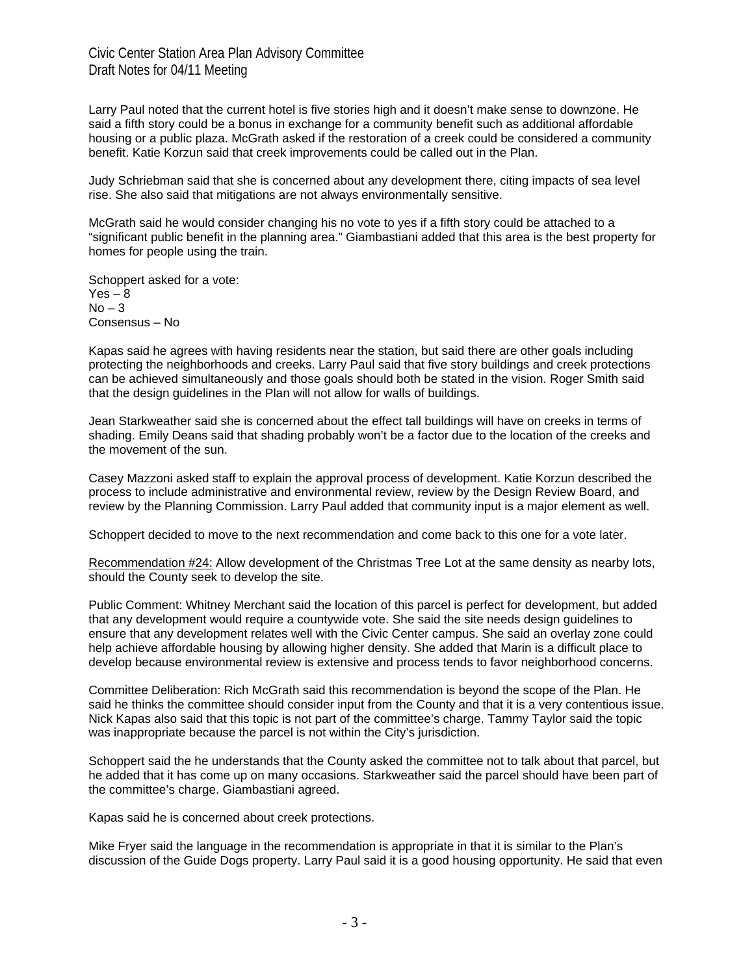Larry Paul noted that the current hotel is five stories high and it doesn't make sense to downzone. He said a fifth story could be a bonus in exchange for a community benefit such as additional affordable housing or a public plaza. McGrath asked if the restoration of a creek could be considered a community benefit. Katie Korzun said that creek improvements could be called out in the Plan.

Judy Schriebman said that she is concerned about any development there, citing impacts of sea level rise. She also said that mitigations are not always environmentally sensitive.

McGrath said he would consider changing his no vote to yes if a fifth story could be attached to a "significant public benefit in the planning area." Giambastiani added that this area is the best property for homes for people using the train.

Schoppert asked for a vote:  $Yes - 8$  $No-3$ Consensus – No

Kapas said he agrees with having residents near the station, but said there are other goals including protecting the neighborhoods and creeks. Larry Paul said that five story buildings and creek protections can be achieved simultaneously and those goals should both be stated in the vision. Roger Smith said that the design guidelines in the Plan will not allow for walls of buildings.

Jean Starkweather said she is concerned about the effect tall buildings will have on creeks in terms of shading. Emily Deans said that shading probably won't be a factor due to the location of the creeks and the movement of the sun.

Casey Mazzoni asked staff to explain the approval process of development. Katie Korzun described the process to include administrative and environmental review, review by the Design Review Board, and review by the Planning Commission. Larry Paul added that community input is a major element as well.

Schoppert decided to move to the next recommendation and come back to this one for a vote later.

Recommendation #24: Allow development of the Christmas Tree Lot at the same density as nearby lots, should the County seek to develop the site.

Public Comment: Whitney Merchant said the location of this parcel is perfect for development, but added that any development would require a countywide vote. She said the site needs design guidelines to ensure that any development relates well with the Civic Center campus. She said an overlay zone could help achieve affordable housing by allowing higher density. She added that Marin is a difficult place to develop because environmental review is extensive and process tends to favor neighborhood concerns.

Committee Deliberation: Rich McGrath said this recommendation is beyond the scope of the Plan. He said he thinks the committee should consider input from the County and that it is a very contentious issue. Nick Kapas also said that this topic is not part of the committee's charge. Tammy Taylor said the topic was inappropriate because the parcel is not within the City's jurisdiction.

Schoppert said the he understands that the County asked the committee not to talk about that parcel, but he added that it has come up on many occasions. Starkweather said the parcel should have been part of the committee's charge. Giambastiani agreed.

Kapas said he is concerned about creek protections.

Mike Fryer said the language in the recommendation is appropriate in that it is similar to the Plan's discussion of the Guide Dogs property. Larry Paul said it is a good housing opportunity. He said that even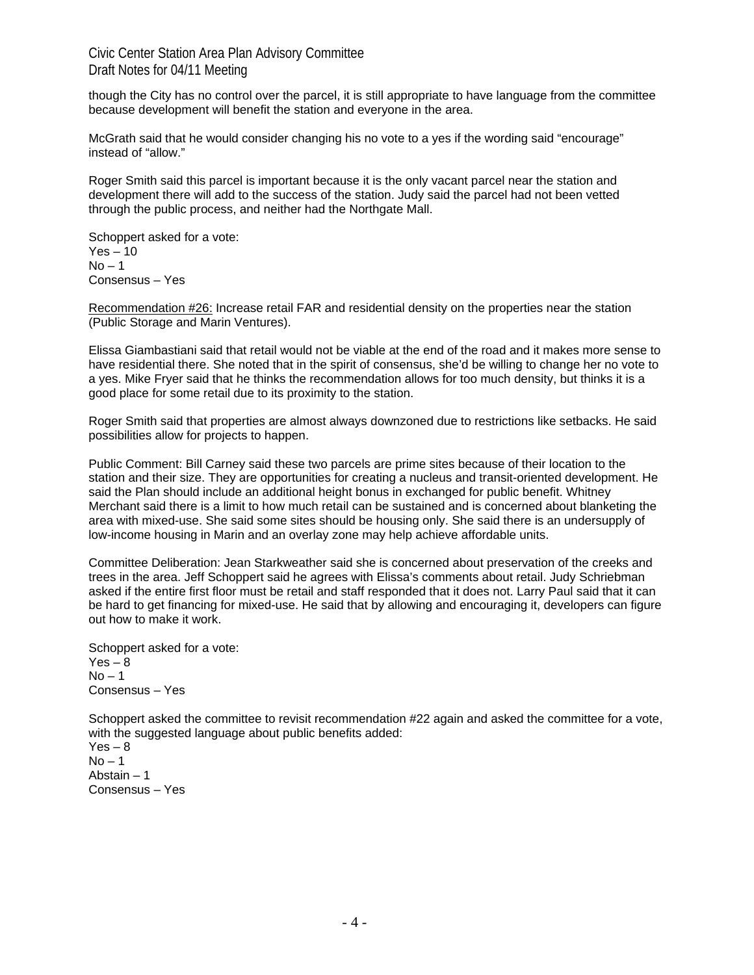though the City has no control over the parcel, it is still appropriate to have language from the committee because development will benefit the station and everyone in the area.

McGrath said that he would consider changing his no vote to a yes if the wording said "encourage" instead of "allow."

Roger Smith said this parcel is important because it is the only vacant parcel near the station and development there will add to the success of the station. Judy said the parcel had not been vetted through the public process, and neither had the Northgate Mall.

Schoppert asked for a vote:  $Yes - 10$  $No - 1$ Consensus – Yes

Recommendation #26: Increase retail FAR and residential density on the properties near the station (Public Storage and Marin Ventures).

Elissa Giambastiani said that retail would not be viable at the end of the road and it makes more sense to have residential there. She noted that in the spirit of consensus, she'd be willing to change her no vote to a yes. Mike Fryer said that he thinks the recommendation allows for too much density, but thinks it is a good place for some retail due to its proximity to the station.

Roger Smith said that properties are almost always downzoned due to restrictions like setbacks. He said possibilities allow for projects to happen.

Public Comment: Bill Carney said these two parcels are prime sites because of their location to the station and their size. They are opportunities for creating a nucleus and transit-oriented development. He said the Plan should include an additional height bonus in exchanged for public benefit. Whitney Merchant said there is a limit to how much retail can be sustained and is concerned about blanketing the area with mixed-use. She said some sites should be housing only. She said there is an undersupply of low-income housing in Marin and an overlay zone may help achieve affordable units.

Committee Deliberation: Jean Starkweather said she is concerned about preservation of the creeks and trees in the area. Jeff Schoppert said he agrees with Elissa's comments about retail. Judy Schriebman asked if the entire first floor must be retail and staff responded that it does not. Larry Paul said that it can be hard to get financing for mixed-use. He said that by allowing and encouraging it, developers can figure out how to make it work.

Schoppert asked for a vote:  $Yes - 8$  $No - 1$ Consensus – Yes

Schoppert asked the committee to revisit recommendation #22 again and asked the committee for a vote, with the suggested language about public benefits added:

 $Yes - 8$  $No - 1$ Abstain – 1 Consensus – Yes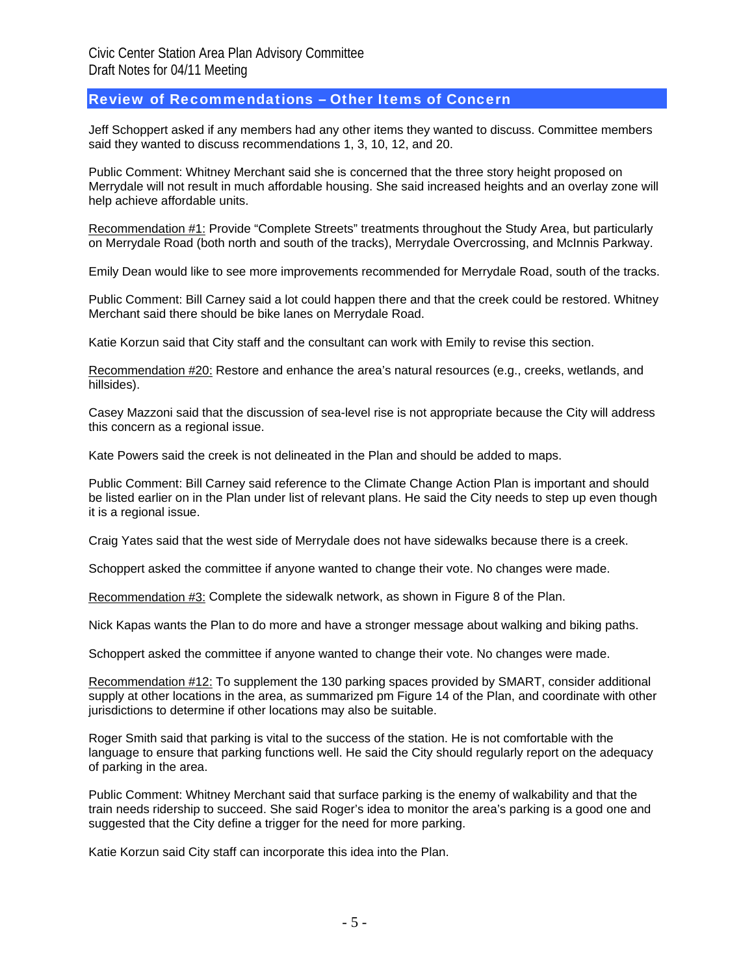#### Review of Recommendations – Other Items of Concern

Jeff Schoppert asked if any members had any other items they wanted to discuss. Committee members said they wanted to discuss recommendations 1, 3, 10, 12, and 20.

Public Comment: Whitney Merchant said she is concerned that the three story height proposed on Merrydale will not result in much affordable housing. She said increased heights and an overlay zone will help achieve affordable units.

Recommendation #1: Provide "Complete Streets" treatments throughout the Study Area, but particularly on Merrydale Road (both north and south of the tracks), Merrydale Overcrossing, and McInnis Parkway.

Emily Dean would like to see more improvements recommended for Merrydale Road, south of the tracks.

Public Comment: Bill Carney said a lot could happen there and that the creek could be restored. Whitney Merchant said there should be bike lanes on Merrydale Road.

Katie Korzun said that City staff and the consultant can work with Emily to revise this section.

Recommendation #20: Restore and enhance the area's natural resources (e.g., creeks, wetlands, and hillsides).

Casey Mazzoni said that the discussion of sea-level rise is not appropriate because the City will address this concern as a regional issue.

Kate Powers said the creek is not delineated in the Plan and should be added to maps.

Public Comment: Bill Carney said reference to the Climate Change Action Plan is important and should be listed earlier on in the Plan under list of relevant plans. He said the City needs to step up even though it is a regional issue.

Craig Yates said that the west side of Merrydale does not have sidewalks because there is a creek.

Schoppert asked the committee if anyone wanted to change their vote. No changes were made.

Recommendation #3: Complete the sidewalk network, as shown in Figure 8 of the Plan.

Nick Kapas wants the Plan to do more and have a stronger message about walking and biking paths.

Schoppert asked the committee if anyone wanted to change their vote. No changes were made.

Recommendation #12: To supplement the 130 parking spaces provided by SMART, consider additional supply at other locations in the area, as summarized pm Figure 14 of the Plan, and coordinate with other jurisdictions to determine if other locations may also be suitable.

Roger Smith said that parking is vital to the success of the station. He is not comfortable with the language to ensure that parking functions well. He said the City should regularly report on the adequacy of parking in the area.

Public Comment: Whitney Merchant said that surface parking is the enemy of walkability and that the train needs ridership to succeed. She said Roger's idea to monitor the area's parking is a good one and suggested that the City define a trigger for the need for more parking.

Katie Korzun said City staff can incorporate this idea into the Plan.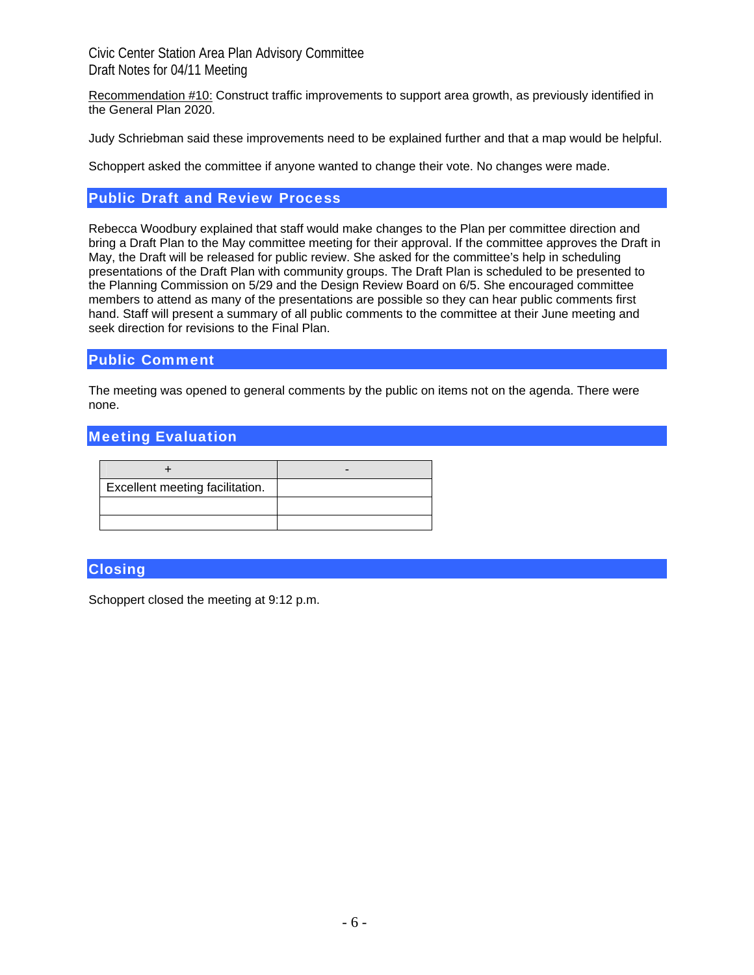Recommendation #10: Construct traffic improvements to support area growth, as previously identified in the General Plan 2020.

Judy Schriebman said these improvements need to be explained further and that a map would be helpful.

Schoppert asked the committee if anyone wanted to change their vote. No changes were made.

#### Public Draft and Review Process

Rebecca Woodbury explained that staff would make changes to the Plan per committee direction and bring a Draft Plan to the May committee meeting for their approval. If the committee approves the Draft in May, the Draft will be released for public review. She asked for the committee's help in scheduling presentations of the Draft Plan with community groups. The Draft Plan is scheduled to be presented to the Planning Commission on 5/29 and the Design Review Board on 6/5. She encouraged committee members to attend as many of the presentations are possible so they can hear public comments first hand. Staff will present a summary of all public comments to the committee at their June meeting and seek direction for revisions to the Final Plan.

#### Public Comment

The meeting was opened to general comments by the public on items not on the agenda. There were none.

## Meeting Evaluation

| Excellent meeting facilitation. |  |
|---------------------------------|--|
|                                 |  |
|                                 |  |

## **Closing**

Schoppert closed the meeting at 9:12 p.m.